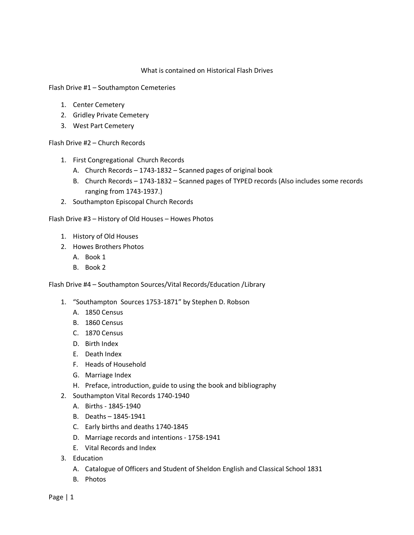## What is contained on Historical Flash Drives

Flash Drive #1 – Southampton Cemeteries

- 1. Center Cemetery
- 2. Gridley Private Cemetery
- 3. West Part Cemetery

Flash Drive #2 – Church Records

- 1. First Congregational Church Records
	- A. Church Records 1743-1832 Scanned pages of original book
	- B. Church Records 1743-1832 Scanned pages of TYPED records (Also includes some records ranging from 1743-1937.)
- 2. Southampton Episcopal Church Records

Flash Drive #3 – History of Old Houses – Howes Photos

- 1. History of Old Houses
- 2. Howes Brothers Photos
	- A. Book 1
	- B. Book 2

Flash Drive #4 – Southampton Sources/Vital Records/Education /Library

- 1. "Southampton Sources 1753-1871" by Stephen D. Robson
	- A. 1850 Census
	- B. 1860 Census
	- C. 1870 Census
	- D. Birth Index
	- E. Death Index
	- F. Heads of Household
	- G. Marriage Index
	- H. Preface, introduction, guide to using the book and bibliography
- 2. Southampton Vital Records 1740-1940
	- A. Births 1845-1940
	- B. Deaths 1845-1941
	- C. Early births and deaths 1740-1845
	- D. Marriage records and intentions 1758-1941
	- E. Vital Records and Index
- 3. Education
	- A. Catalogue of Officers and Student of Sheldon English and Classical School 1831
	- B. Photos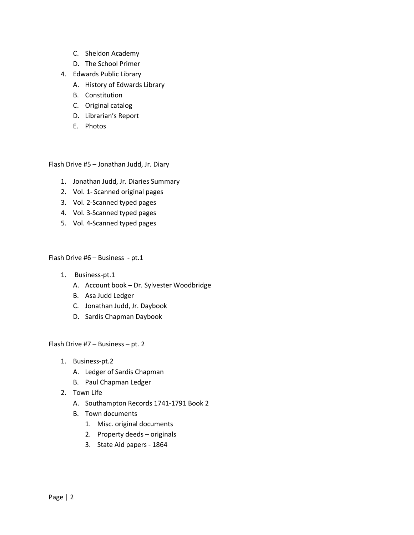- C. Sheldon Academy
- D. The School Primer
- 4. Edwards Public Library
	- A. History of Edwards Library
	- B. Constitution
	- C. Original catalog
	- D. Librarian's Report
	- E. Photos

Flash Drive #5 – Jonathan Judd, Jr. Diary

- 1. Jonathan Judd, Jr. Diaries Summary
- 2. Vol. 1- Scanned original pages
- 3. Vol. 2-Scanned typed pages
- 4. Vol. 3-Scanned typed pages
- 5. Vol. 4-Scanned typed pages

Flash Drive #6 – Business - pt.1

- 1. Business-pt.1
	- A. Account book Dr. Sylvester Woodbridge
	- B. Asa Judd Ledger
	- C. Jonathan Judd, Jr. Daybook
	- D. Sardis Chapman Daybook

Flash Drive #7 – Business – pt. 2

- 1. Business-pt.2
	- A. Ledger of Sardis Chapman
	- B. Paul Chapman Ledger
- 2. Town Life
	- A. Southampton Records 1741-1791 Book 2
	- B. Town documents
		- 1. Misc. original documents
		- 2. Property deeds originals
		- 3. State Aid papers 1864